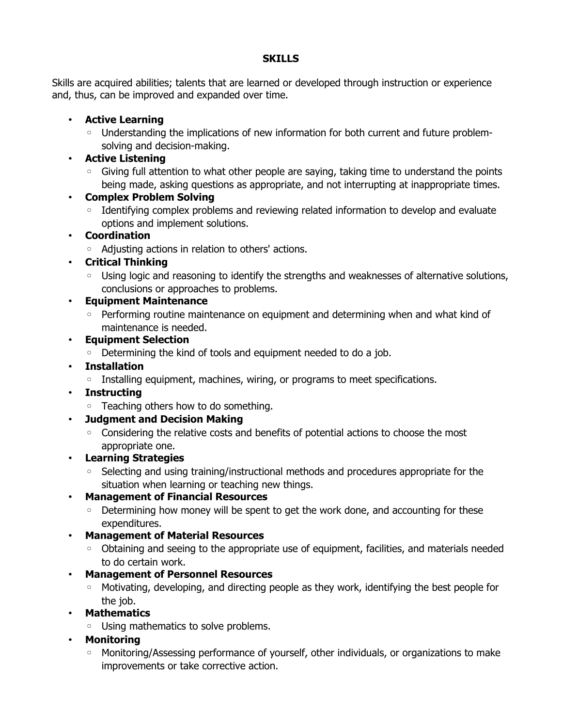#### **SKILLS**

Skills are acquired abilities; talents that are learned or developed through instruction or experience and, thus, can be improved and expanded over time.

#### • **Active Learning**

◦ Understanding the implications of new information for both current and future problemsolving and decision-making.

# • **Active Listening**

◦ Giving full attention to what other people are saying, taking time to understand the points being made, asking questions as appropriate, and not interrupting at inappropriate times.

# • **Complex Problem Solving**

◦ Identifying complex problems and reviewing related information to develop and evaluate options and implement solutions.

#### • **Coordination**

◦ Adjusting actions in relation to others' actions.

# • **Critical Thinking**

◦ Using logic and reasoning to identify the strengths and weaknesses of alternative solutions, conclusions or approaches to problems.

#### • **Equipment Maintenance**

◦ Performing routine maintenance on equipment and determining when and what kind of maintenance is needed.

# • **Equipment Selection**

◦ Determining the kind of tools and equipment needed to do a job.

#### • **Installation**

- Installing equipment, machines, wiring, or programs to meet specifications.
- **Instructing**
	- Teaching others how to do something.

# • **Judgment and Decision Making**

- Considering the relative costs and benefits of potential actions to choose the most appropriate one.
- **Learning Strategies**
	- Selecting and using training/instructional methods and procedures appropriate for the situation when learning or teaching new things.

#### • **Management of Financial Resources**

◦ Determining how money will be spent to get the work done, and accounting for these expenditures.

# • **Management of Material Resources**

◦ Obtaining and seeing to the appropriate use of equipment, facilities, and materials needed to do certain work.

# • **Management of Personnel Resources**

◦ Motivating, developing, and directing people as they work, identifying the best people for the job.

# • **Mathematics**

- Using mathematics to solve problems.
- **Monitoring**
	- Monitoring/Assessing performance of yourself, other individuals, or organizations to make improvements or take corrective action.